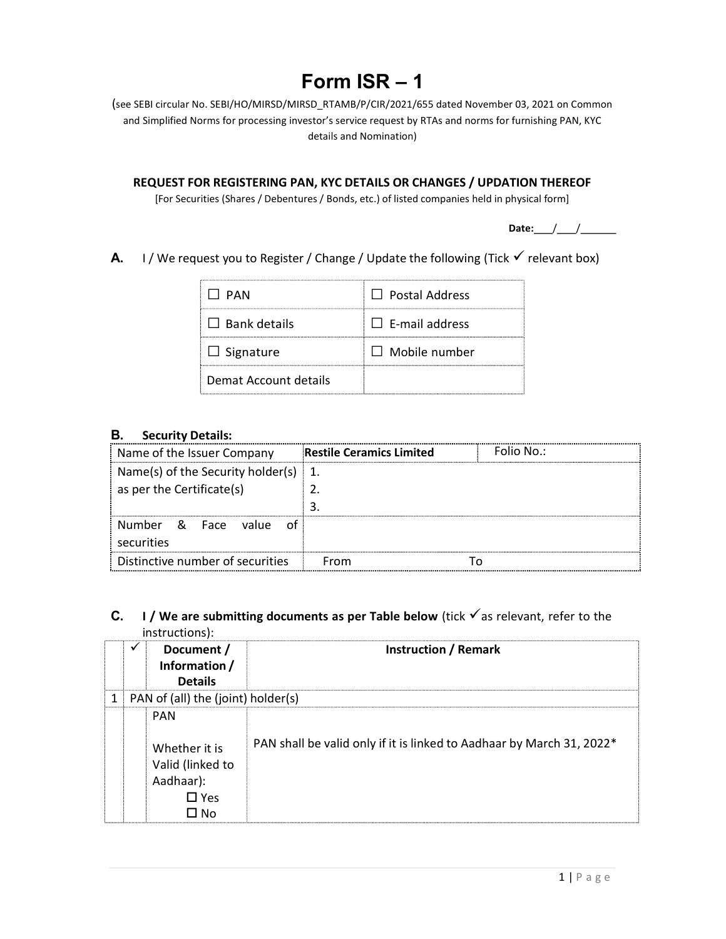# Form ISR – 1

(see SEBI circular No. SEBI/HO/MIRSD/MIRSD\_RTAMB/P/CIR/2021/655 dated November 03, 2021 on Common and Simplified Norms for processing investor's service request by RTAs and norms for furnishing PAN, KYC details and Nomination)

REQUEST FOR REGISTERING PAN, KYC DETAILS OR CHANGES / UPDATION THEREOF

[For Securities (Shares / Debentures / Bonds, etc.) of listed companies held in physical form]

Date: $\angle$ 

A. I / We request you to Register / Change / Update the following (Tick  $\checkmark$  relevant box)

| II PAN                | $\Box$ Postal Address |
|-----------------------|-----------------------|
| $\Box$ Bank details   | $\Box$ E-mail address |
| $\Box$ Signature      | $\Box$ Mobile number  |
| Demat Account details |                       |

#### B. Security Details:

| Name of the Issuer Company                      | <b>Restile Ceramics Limited</b> | Folio No.: |
|-------------------------------------------------|---------------------------------|------------|
| $\frac{1}{2}$ Name(s) of the Security holder(s) |                                 |            |
| as per the Certificate(s)                       |                                 |            |
|                                                 |                                 |            |
| Number<br>- & Face<br>value<br>securities       |                                 |            |
| Distinctive number of securities                | From                            |            |

## C. I / We are submitting documents as per Table below (tick  $\checkmark$  as relevant, refer to the instructions):

|   | ✔ | Document /<br>Information /<br><b>Details</b>                                         | <b>Instruction / Remark</b>                                           |
|---|---|---------------------------------------------------------------------------------------|-----------------------------------------------------------------------|
| 1 |   | PAN of (all) the (joint) holder(s)                                                    |                                                                       |
|   |   | <b>PAN</b><br>Whether it is<br>Valid (linked to<br>Aadhaar):<br>$\square$ Yes<br>∩ No | PAN shall be valid only if it is linked to Aadhaar by March 31, 2022* |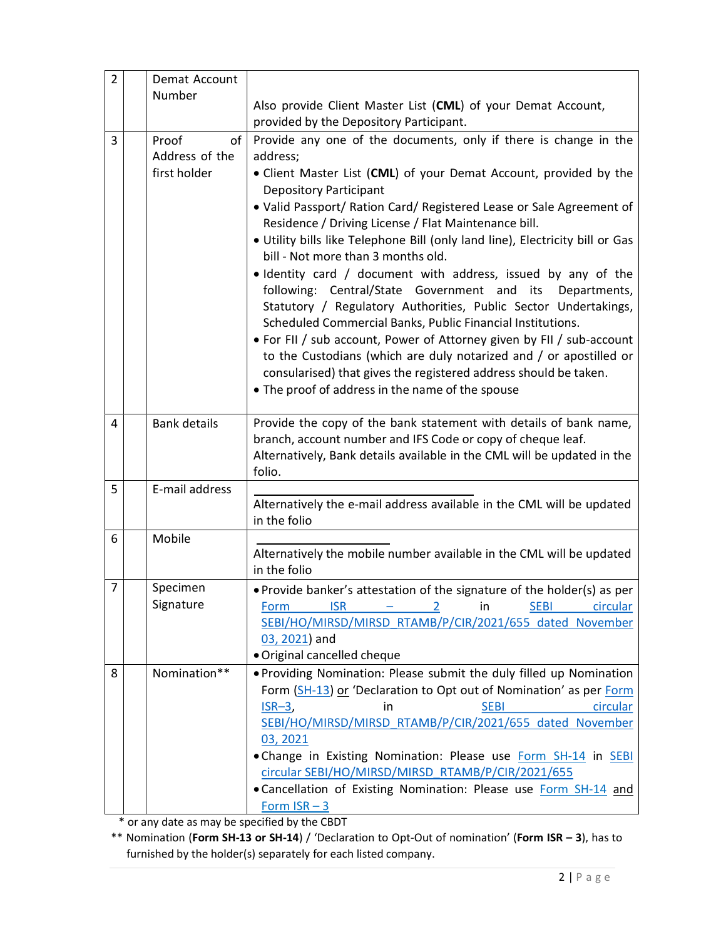| $\overline{2}$ | Demat Account                 |                                                                                                                                                                                                                                                                                                                                                                                                                                                          |
|----------------|-------------------------------|----------------------------------------------------------------------------------------------------------------------------------------------------------------------------------------------------------------------------------------------------------------------------------------------------------------------------------------------------------------------------------------------------------------------------------------------------------|
|                | Number                        | Also provide Client Master List (CML) of your Demat Account,                                                                                                                                                                                                                                                                                                                                                                                             |
|                |                               | provided by the Depository Participant.                                                                                                                                                                                                                                                                                                                                                                                                                  |
| 3              | Proof<br>of<br>Address of the | Provide any one of the documents, only if there is change in the<br>address;                                                                                                                                                                                                                                                                                                                                                                             |
|                | first holder                  | • Client Master List (CML) of your Demat Account, provided by the<br><b>Depository Participant</b>                                                                                                                                                                                                                                                                                                                                                       |
|                |                               | · Valid Passport/ Ration Card/ Registered Lease or Sale Agreement of<br>Residence / Driving License / Flat Maintenance bill.<br>. Utility bills like Telephone Bill (only land line), Electricity bill or Gas<br>bill - Not more than 3 months old.                                                                                                                                                                                                      |
|                |                               | . Identity card / document with address, issued by any of the<br>following: Central/State Government and its<br>Departments,<br>Statutory / Regulatory Authorities, Public Sector Undertakings,<br>Scheduled Commercial Banks, Public Financial Institutions.<br>• For FII / sub account, Power of Attorney given by FII / sub-account                                                                                                                   |
|                |                               | to the Custodians (which are duly notarized and / or apostilled or<br>consularised) that gives the registered address should be taken.<br>• The proof of address in the name of the spouse                                                                                                                                                                                                                                                               |
| 4              | <b>Bank details</b>           | Provide the copy of the bank statement with details of bank name,<br>branch, account number and IFS Code or copy of cheque leaf.<br>Alternatively, Bank details available in the CML will be updated in the<br>folio.                                                                                                                                                                                                                                    |
| 5              | E-mail address                | Alternatively the e-mail address available in the CML will be updated<br>in the folio                                                                                                                                                                                                                                                                                                                                                                    |
| 6              | Mobile                        |                                                                                                                                                                                                                                                                                                                                                                                                                                                          |
|                |                               | Alternatively the mobile number available in the CML will be updated<br>in the folio                                                                                                                                                                                                                                                                                                                                                                     |
| 7              | Specimen<br>Signature         | . Provide banker's attestation of the signature of the holder(s) as per<br><b>ISR</b><br><b>SEBI</b><br>circular<br>Form<br>in<br>SEBI/HO/MIRSD/MIRSD RTAMB/P/CIR/2021/655 dated November<br>03, 2021) and<br>· Original cancelled cheque                                                                                                                                                                                                                |
| 8              | Nomination**                  | . Providing Nomination: Please submit the duly filled up Nomination<br>Form (SH-13) or 'Declaration to Opt out of Nomination' as per Form<br>in<br><b>SEBI</b><br>circular<br>$ISR-3,$<br>SEBI/HO/MIRSD/MIRSD RTAMB/P/CIR/2021/655 dated November<br>03, 2021<br>. Change in Existing Nomination: Please use Form SH-14 in SEBI<br>circular SEBI/HO/MIRSD/MIRSD RTAMB/P/CIR/2021/655<br>• Cancellation of Existing Nomination: Please use Form SH-14 and |
|                |                               | Form $ISR - 3$<br>may ho concified by the CPDT                                                                                                                                                                                                                                                                                                                                                                                                           |

or any date as may be specified by the CBDT

\*\* Nomination (Form SH-13 or SH-14) / 'Declaration to Opt-Out of nomination' (Form ISR – 3), has to furnished by the holder(s) separately for each listed company.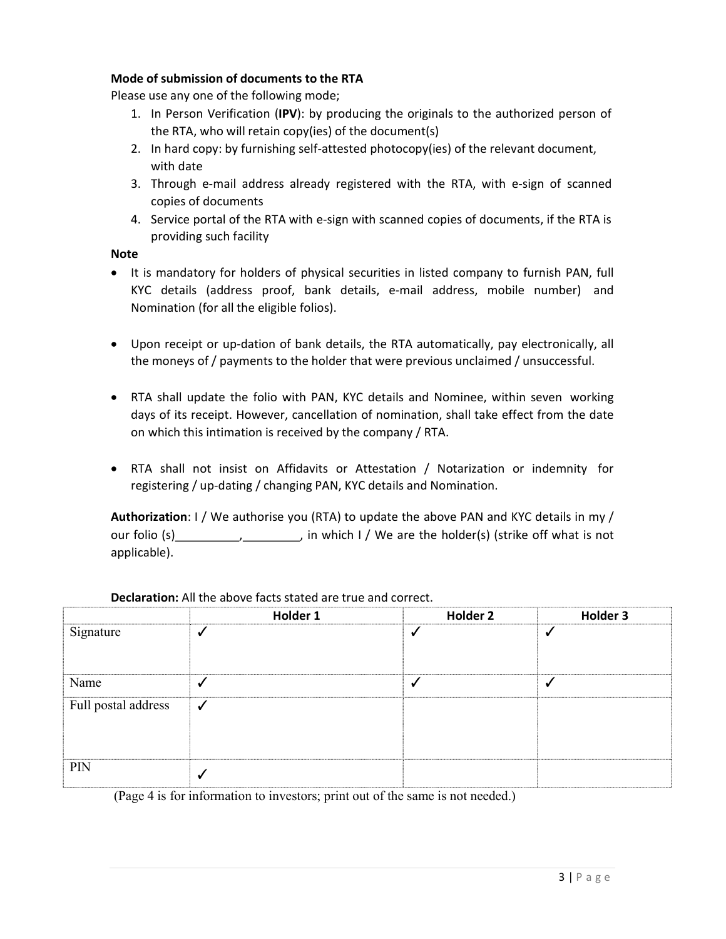## Mode of submission of documents to the RTA

Please use any one of the following mode;

- 1. In Person Verification (IPV): by producing the originals to the authorized person of the RTA, who will retain copy(ies) of the document(s)
- 2. In hard copy: by furnishing self-attested photocopy(ies) of the relevant document, with date
- 3. Through e-mail address already registered with the RTA, with e-sign of scanned copies of documents
- 4. Service portal of the RTA with e-sign with scanned copies of documents, if the RTA is providing such facility

Note

- It is mandatory for holders of physical securities in listed company to furnish PAN, full KYC details (address proof, bank details, e-mail address, mobile number) and Nomination (for all the eligible folios).
- Upon receipt or up-dation of bank details, the RTA automatically, pay electronically, all the moneys of / payments to the holder that were previous unclaimed / unsuccessful.
- RTA shall update the folio with PAN, KYC details and Nominee, within seven working days of its receipt. However, cancellation of nomination, shall take effect from the date on which this intimation is received by the company / RTA.
- RTA shall not insist on Affidavits or Attestation / Notarization or indemnity for registering / up-dating / changing PAN, KYC details and Nomination.

Authorization: I / We authorise you (RTA) to update the above PAN and KYC details in my / our folio (s) , , in which I / We are the holder(s) (strike off what is not applicable).

|                     | Holder 1 | Holder 2 | Holder 3 |
|---------------------|----------|----------|----------|
| Signature           |          |          |          |
| Name                |          |          |          |
| Full postal address |          |          |          |
| PIN                 |          |          |          |

Declaration: All the above facts stated are true and correct.

(Page 4 is for information to investors; print out of the same is not needed.)